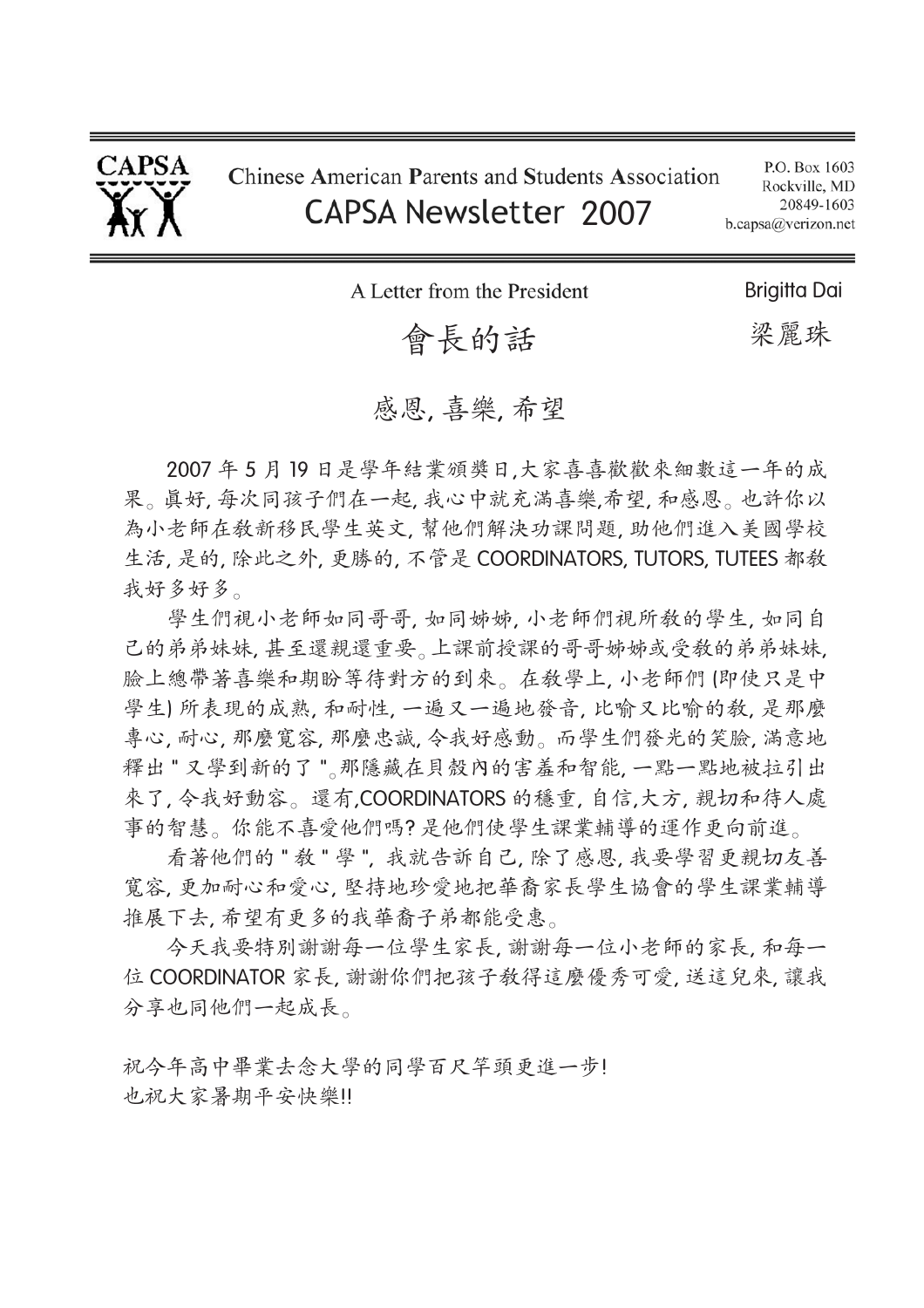

P.O. Box 1603 Rockville, MD 20849-1603 b.capsa@verizon.net

A Letter from the President

# 會長的話

**Briaitta Dai** 

梁麗珠

## 感恩, 喜樂, 希望

2007年5月19日是學年結業頒獎日,大家喜喜歡歡來細數這一年的成 果。真好,每次同孩子們在一起,我心中就充滿喜樂,希望,和感恩。也許你以 為小老師在教新移民學生英文,幫他們解決功課問題,助他們進入美國學校 生活,是的,除此之外,更勝的,不管是 COORDINATORS, TUTORS, TUTEES 都教 我好多好多。

學生們視小老師如同哥哥,如同姊姊,小老師們視所教的學生,如同自 己的弟弟妹妹,甚至還親還重要。上課前授課的哥哥姊姊或受教的弟弟妹妹, 臉上總帶著喜樂和期盼等待對方的到來。在教學上, 小老師們 (即使只是中 學生)所表現的成熟, 和耐性, 一遍又一遍地發音, 比喻又比喻的教, 是那麼 專心, 耐心, 那麼寬容, 那麼忠誠, 令我好感動。而學生們發光的笑臉, 滿意地 釋出"又學到新的了"。那隱藏在貝殼內的害羞和智能,一點一點地被拉引出 來了,令我好動容。還有,COORDINATORS 的穩重,自信,大方, 親切和待人處 事的智慧。你能不喜爱他們嗎?是他們使學生課業輔導的運作更向前進。

看著他們的"敎"學",我就告訴自己,除了感恩,我要學習更親切友善 寬容,更加耐心和愛心,堅持地珍愛地把華裔家長學生協會的學生課業輔導 推展下去, 希望有更多的我華裔子弟都能受惠。

今天我要特別謝謝每一位家長,謝謝每一位小老師的家長,和每一 位 COORDINATOR 家長, 謝謝你們把孩子教得這麼優秀可愛, 送這兒來, 讓我 分享也同他們一起成長。

祝今年高中畢業去念大學的同學百尺竿頭更進一步! 也祝大家暑期平安快樂!!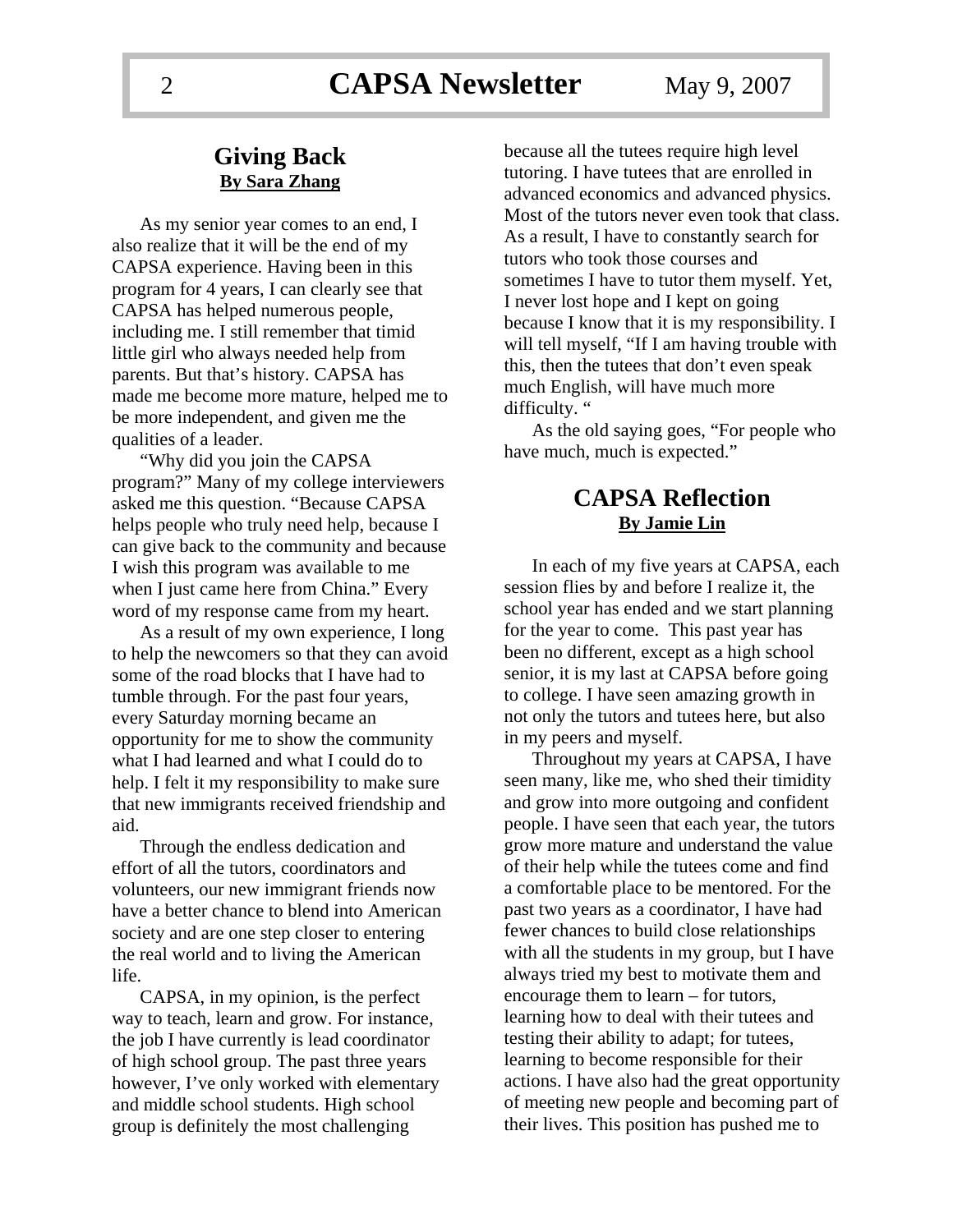### **Giving Back By Sara Zhang**

As my senior year comes to an end, I also realize that it will be the end of my CAPSA experience. Having been in this program for 4 years, I can clearly see that CAPSA has helped numerous people, including me. I still remember that timid little girl who always needed help from parents. But that's history. CAPSA has made me become more mature, helped me to be more independent, and given me the qualities of a leader.

"Why did you join the CAPSA program?" Many of my college interviewers asked me this question. "Because CAPSA helps people who truly need help, because I can give back to the community and because I wish this program was available to me when I just came here from China." Every word of my response came from my heart.

As a result of my own experience, I long to help the newcomers so that they can avoid some of the road blocks that I have had to tumble through. For the past four years, every Saturday morning became an opportunity for me to show the community what I had learned and what I could do to help. I felt it my responsibility to make sure that new immigrants received friendship and aid.

Through the endless dedication and effort of all the tutors, coordinators and volunteers, our new immigrant friends now have a better chance to blend into American society and are one step closer to entering the real world and to living the American life.

CAPSA, in my opinion, is the perfect way to teach, learn and grow. For instance, the job I have currently is lead coordinator of high school group. The past three years however, I've only worked with elementary and middle school students. High school group is definitely the most challenging

because all the tutees require high level tutoring. I have tutees that are enrolled in advanced economics and advanced physics. Most of the tutors never even took that class. As a result, I have to constantly search for tutors who took those courses and sometimes I have to tutor them myself. Yet, I never lost hope and I kept on going because I know that it is my responsibility. I will tell myself, "If I am having trouble with this, then the tutees that don't even speak much English, will have much more difficulty. "

As the old saying goes, "For people who have much, much is expected."

### **CAPSA Reflection By Jamie Lin**

In each of my five years at CAPSA, each session flies by and before I realize it, the school year has ended and we start planning for the year to come. This past year has been no different, except as a high school senior, it is my last at CAPSA before going to college. I have seen amazing growth in not only the tutors and tutees here, but also in my peers and myself.

Throughout my years at CAPSA, I have seen many, like me, who shed their timidity and grow into more outgoing and confident people. I have seen that each year, the tutors grow more mature and understand the value of their help while the tutees come and find a comfortable place to be mentored. For the past two years as a coordinator, I have had fewer chances to build close relationships with all the students in my group, but I have always tried my best to motivate them and encourage them to learn – for tutors, learning how to deal with their tutees and testing their ability to adapt; for tutees, learning to become responsible for their actions. I have also had the great opportunity of meeting new people and becoming part of their lives. This position has pushed me to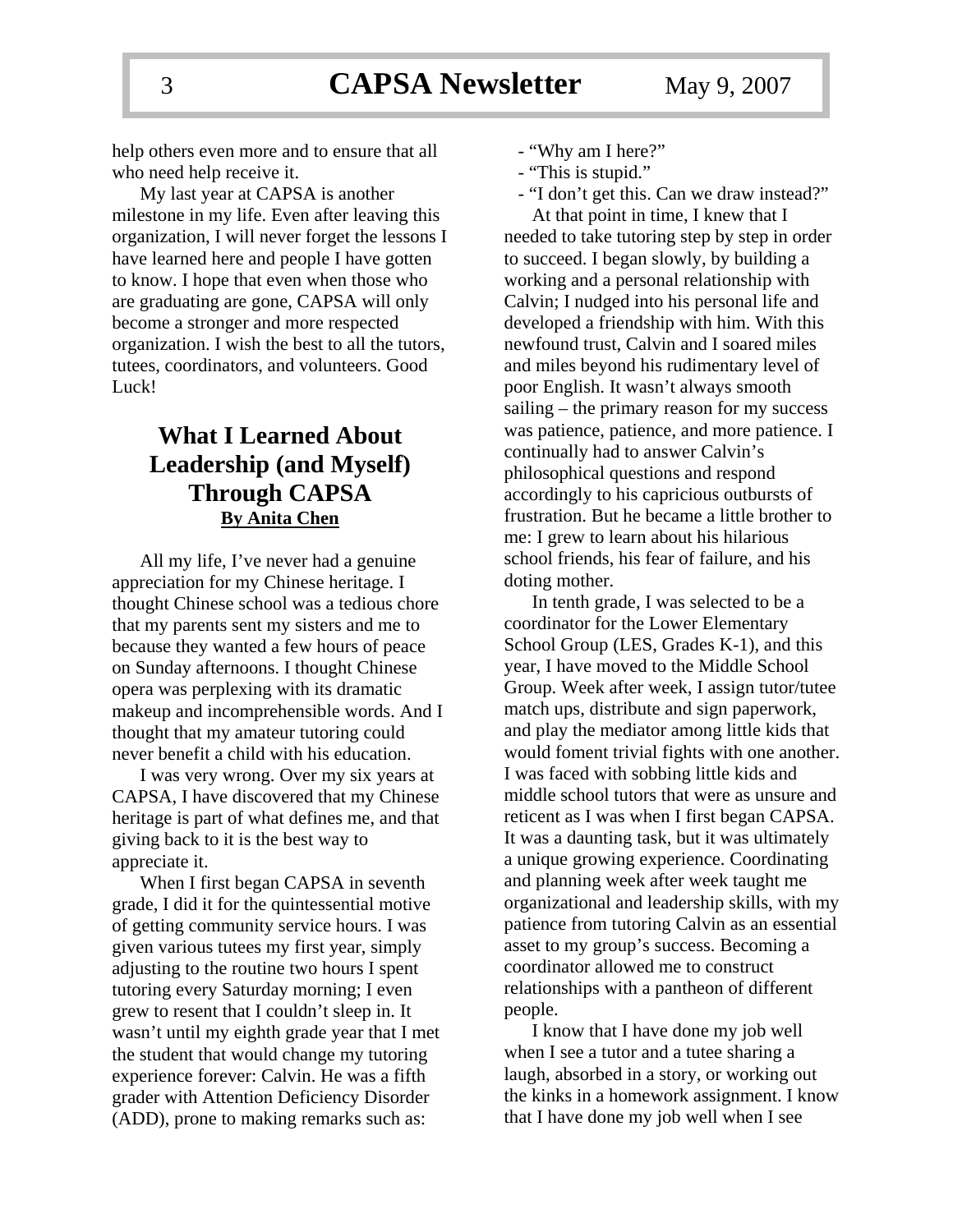help others even more and to ensure that all who need help receive it.

My last year at CAPSA is another milestone in my life. Even after leaving this organization, I will never forget the lessons I have learned here and people I have gotten to know. I hope that even when those who are graduating are gone, CAPSA will only become a stronger and more respected organization. I wish the best to all the tutors, tutees, coordinators, and volunteers. Good Luck!

### **What I Learned About Leadership (and Myself) Through CAPSA By Anita Chen**

All my life, I've never had a genuine appreciation for my Chinese heritage. I thought Chinese school was a tedious chore that my parents sent my sisters and me to because they wanted a few hours of peace on Sunday afternoons. I thought Chinese opera was perplexing with its dramatic makeup and incomprehensible words. And I thought that my amateur tutoring could never benefit a child with his education.

I was very wrong. Over my six years at CAPSA, I have discovered that my Chinese heritage is part of what defines me, and that giving back to it is the best way to appreciate it.

When I first began CAPSA in seventh grade, I did it for the quintessential motive of getting community service hours. I was given various tutees my first year, simply adjusting to the routine two hours I spent tutoring every Saturday morning; I even grew to resent that I couldn't sleep in. It wasn't until my eighth grade year that I met the student that would change my tutoring experience forever: Calvin. He was a fifth grader with Attention Deficiency Disorder (ADD), prone to making remarks such as:

- "Why am I here?"
- "This is stupid."
- "I don't get this. Can we draw instead?"

At that point in time, I knew that I needed to take tutoring step by step in order to succeed. I began slowly, by building a working and a personal relationship with Calvin; I nudged into his personal life and developed a friendship with him. With this newfound trust, Calvin and I soared miles and miles beyond his rudimentary level of poor English. It wasn't always smooth sailing – the primary reason for my success was patience, patience, and more patience. I continually had to answer Calvin's philosophical questions and respond accordingly to his capricious outbursts of frustration. But he became a little brother to me: I grew to learn about his hilarious school friends, his fear of failure, and his doting mother.

In tenth grade, I was selected to be a coordinator for the Lower Elementary School Group (LES, Grades K-1), and this year, I have moved to the Middle School Group. Week after week, I assign tutor/tutee match ups, distribute and sign paperwork, and play the mediator among little kids that would foment trivial fights with one another. I was faced with sobbing little kids and middle school tutors that were as unsure and reticent as I was when I first began CAPSA. It was a daunting task, but it was ultimately a unique growing experience. Coordinating and planning week after week taught me organizational and leadership skills, with my patience from tutoring Calvin as an essential asset to my group's success. Becoming a coordinator allowed me to construct relationships with a pantheon of different people.

I know that I have done my job well when I see a tutor and a tutee sharing a laugh, absorbed in a story, or working out the kinks in a homework assignment. I know that I have done my job well when I see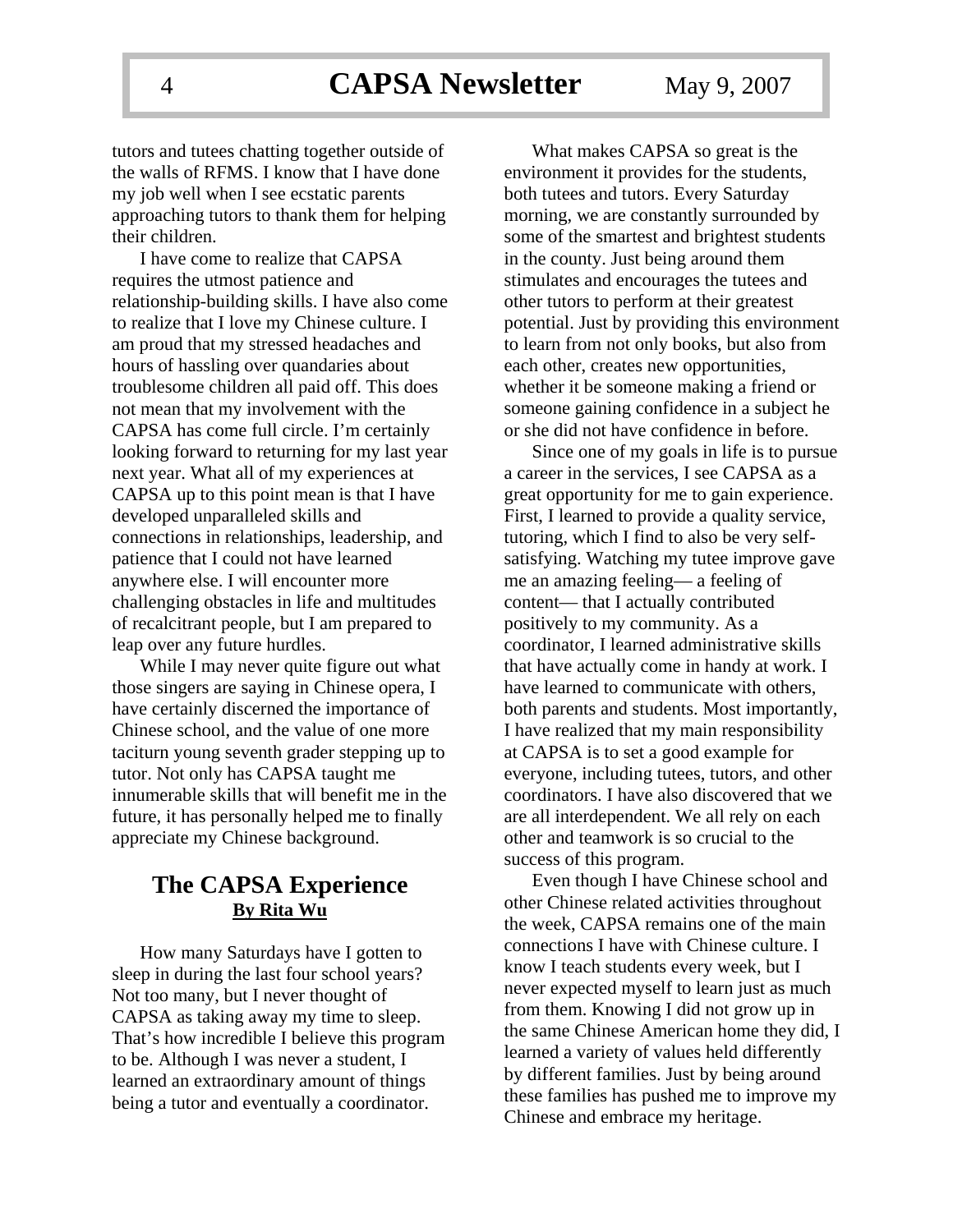tutors and tutees chatting together outside of the walls of RFMS. I know that I have done my job well when I see ecstatic parents approaching tutors to thank them for helping their children.

I have come to realize that CAPSA requires the utmost patience and relationship-building skills. I have also come to realize that I love my Chinese culture. I am proud that my stressed headaches and hours of hassling over quandaries about troublesome children all paid off. This does not mean that my involvement with the CAPSA has come full circle. I'm certainly looking forward to returning for my last year next year. What all of my experiences at CAPSA up to this point mean is that I have developed unparalleled skills and connections in relationships, leadership, and patience that I could not have learned anywhere else. I will encounter more challenging obstacles in life and multitudes of recalcitrant people, but I am prepared to leap over any future hurdles.

While I may never quite figure out what those singers are saying in Chinese opera, I have certainly discerned the importance of Chinese school, and the value of one more taciturn young seventh grader stepping up to tutor. Not only has CAPSA taught me innumerable skills that will benefit me in the future, it has personally helped me to finally appreciate my Chinese background.

### **The CAPSA Experience By Rita Wu**

How many Saturdays have I gotten to sleep in during the last four school years? Not too many, but I never thought of CAPSA as taking away my time to sleep. That's how incredible I believe this program to be. Although I was never a student, I learned an extraordinary amount of things being a tutor and eventually a coordinator.

What makes CAPSA so great is the environment it provides for the students, both tutees and tutors. Every Saturday morning, we are constantly surrounded by some of the smartest and brightest students in the county. Just being around them stimulates and encourages the tutees and other tutors to perform at their greatest potential. Just by providing this environment to learn from not only books, but also from each other, creates new opportunities, whether it be someone making a friend or someone gaining confidence in a subject he or she did not have confidence in before.

Since one of my goals in life is to pursue a career in the services, I see CAPSA as a great opportunity for me to gain experience. First, I learned to provide a quality service, tutoring, which I find to also be very selfsatisfying. Watching my tutee improve gave me an amazing feeling— a feeling of content— that I actually contributed positively to my community. As a coordinator, I learned administrative skills that have actually come in handy at work. I have learned to communicate with others, both parents and students. Most importantly, I have realized that my main responsibility at CAPSA is to set a good example for everyone, including tutees, tutors, and other coordinators. I have also discovered that we are all interdependent. We all rely on each other and teamwork is so crucial to the success of this program.

Even though I have Chinese school and other Chinese related activities throughout the week, CAPSA remains one of the main connections I have with Chinese culture. I know I teach students every week, but I never expected myself to learn just as much from them. Knowing I did not grow up in the same Chinese American home they did, I learned a variety of values held differently by different families. Just by being around these families has pushed me to improve my Chinese and embrace my heritage.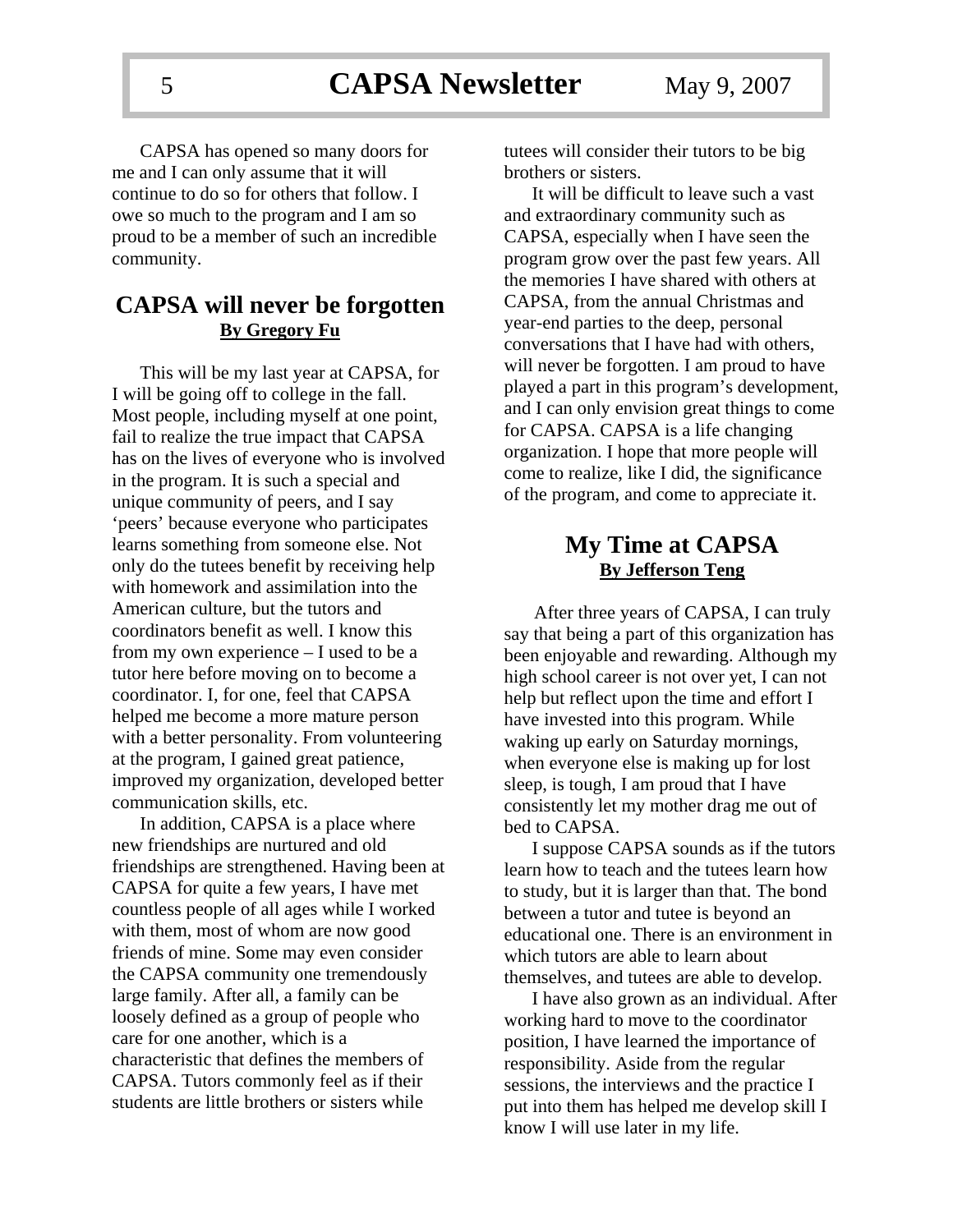CAPSA has opened so many doors for me and I can only assume that it will continue to do so for others that follow. I owe so much to the program and I am so proud to be a member of such an incredible community.

### **CAPSA will never be forgotten By Gregory Fu**

This will be my last year at CAPSA, for I will be going off to college in the fall. Most people, including myself at one point, fail to realize the true impact that CAPSA has on the lives of everyone who is involved in the program. It is such a special and unique community of peers, and I say 'peers' because everyone who participates learns something from someone else. Not only do the tutees benefit by receiving help with homework and assimilation into the American culture, but the tutors and coordinators benefit as well. I know this from my own experience – I used to be a tutor here before moving on to become a coordinator. I, for one, feel that CAPSA helped me become a more mature person with a better personality. From volunteering at the program, I gained great patience, improved my organization, developed better communication skills, etc.

In addition, CAPSA is a place where new friendships are nurtured and old friendships are strengthened. Having been at CAPSA for quite a few years, I have met countless people of all ages while I worked with them, most of whom are now good friends of mine. Some may even consider the CAPSA community one tremendously large family. After all, a family can be loosely defined as a group of people who care for one another, which is a characteristic that defines the members of CAPSA. Tutors commonly feel as if their students are little brothers or sisters while

tutees will consider their tutors to be big brothers or sisters.

It will be difficult to leave such a vast and extraordinary community such as CAPSA, especially when I have seen the program grow over the past few years. All the memories I have shared with others at CAPSA, from the annual Christmas and year-end parties to the deep, personal conversations that I have had with others, will never be forgotten. I am proud to have played a part in this program's development, and I can only envision great things to come for CAPSA. CAPSA is a life changing organization. I hope that more people will come to realize, like I did, the significance of the program, and come to appreciate it.

### **My Time at CAPSA By Jefferson Teng**

After three years of CAPSA, I can truly say that being a part of this organization has been enjoyable and rewarding. Although my high school career is not over yet, I can not help but reflect upon the time and effort I have invested into this program. While waking up early on Saturday mornings, when everyone else is making up for lost sleep, is tough, I am proud that I have consistently let my mother drag me out of bed to CAPSA.

I suppose CAPSA sounds as if the tutors learn how to teach and the tutees learn how to study, but it is larger than that. The bond between a tutor and tutee is beyond an educational one. There is an environment in which tutors are able to learn about themselves, and tutees are able to develop.

I have also grown as an individual. After working hard to move to the coordinator position, I have learned the importance of responsibility. Aside from the regular sessions, the interviews and the practice I put into them has helped me develop skill I know I will use later in my life.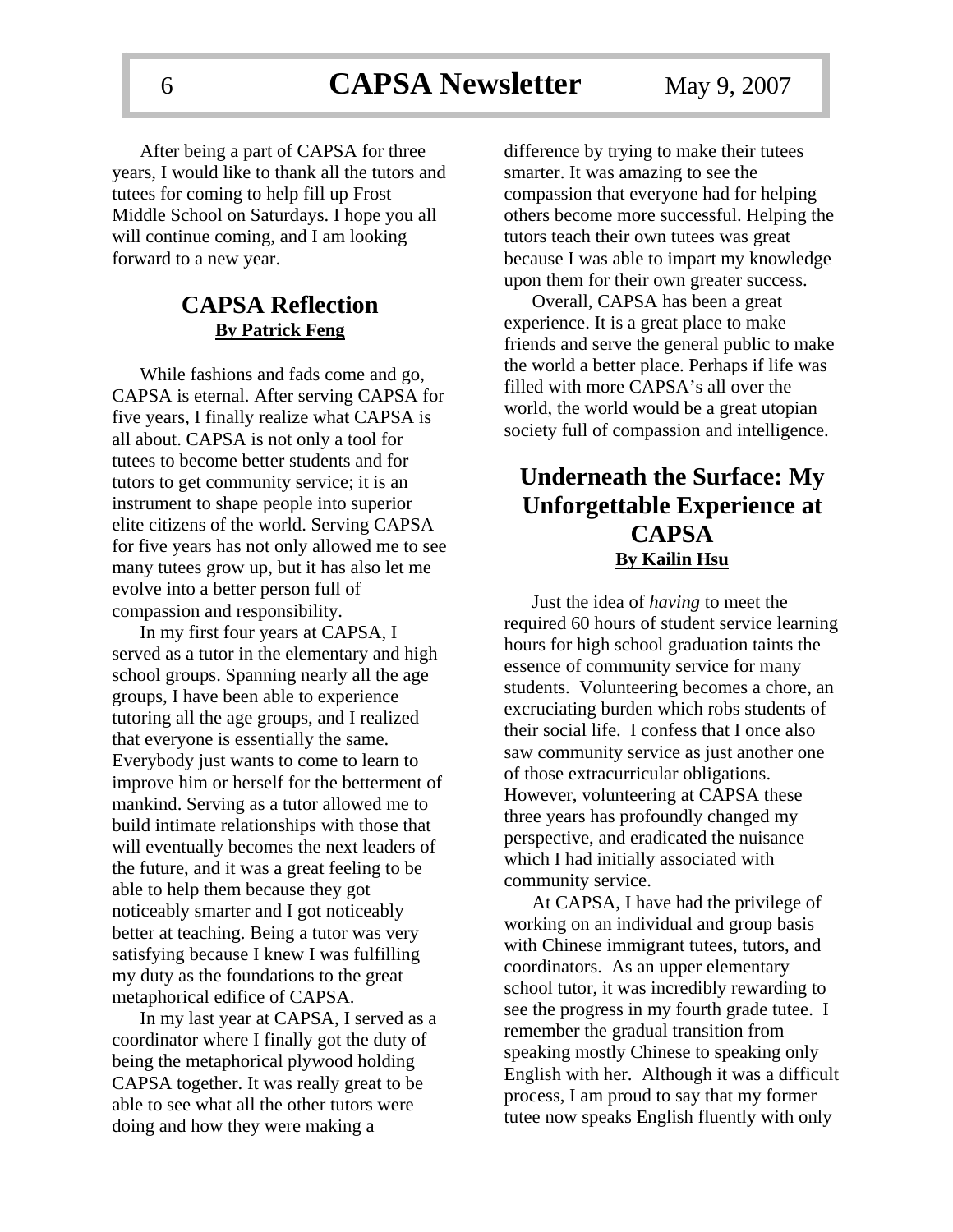After being a part of CAPSA for three years, I would like to thank all the tutors and tutees for coming to help fill up Frost Middle School on Saturdays. I hope you all will continue coming, and I am looking forward to a new year.

### **CAPSA Reflection By Patrick Feng**

While fashions and fads come and go, CAPSA is eternal. After serving CAPSA for five years, I finally realize what CAPSA is all about. CAPSA is not only a tool for tutees to become better students and for tutors to get community service; it is an instrument to shape people into superior elite citizens of the world. Serving CAPSA for five years has not only allowed me to see many tutees grow up, but it has also let me evolve into a better person full of compassion and responsibility.

In my first four years at CAPSA, I served as a tutor in the elementary and high school groups. Spanning nearly all the age groups, I have been able to experience tutoring all the age groups, and I realized that everyone is essentially the same. Everybody just wants to come to learn to improve him or herself for the betterment of mankind. Serving as a tutor allowed me to build intimate relationships with those that will eventually becomes the next leaders of the future, and it was a great feeling to be able to help them because they got noticeably smarter and I got noticeably better at teaching. Being a tutor was very satisfying because I knew I was fulfilling my duty as the foundations to the great metaphorical edifice of CAPSA.

In my last year at CAPSA, I served as a coordinator where I finally got the duty of being the metaphorical plywood holding CAPSA together. It was really great to be able to see what all the other tutors were doing and how they were making a

difference by trying to make their tutees smarter. It was amazing to see the compassion that everyone had for helping others become more successful. Helping the tutors teach their own tutees was great because I was able to impart my knowledge upon them for their own greater success.

Overall, CAPSA has been a great experience. It is a great place to make friends and serve the general public to make the world a better place. Perhaps if life was filled with more CAPSA's all over the world, the world would be a great utopian society full of compassion and intelligence.

### **Underneath the Surface: My Unforgettable Experience at CAPSA By Kailin Hsu**

Just the idea of *having* to meet the required 60 hours of student service learning hours for high school graduation taints the essence of community service for many students. Volunteering becomes a chore, an excruciating burden which robs students of their social life. I confess that I once also saw community service as just another one of those extracurricular obligations. However, volunteering at CAPSA these three years has profoundly changed my perspective, and eradicated the nuisance which I had initially associated with community service.

At CAPSA, I have had the privilege of working on an individual and group basis with Chinese immigrant tutees, tutors, and coordinators. As an upper elementary school tutor, it was incredibly rewarding to see the progress in my fourth grade tutee. I remember the gradual transition from speaking mostly Chinese to speaking only English with her. Although it was a difficult process, I am proud to say that my former tutee now speaks English fluently with only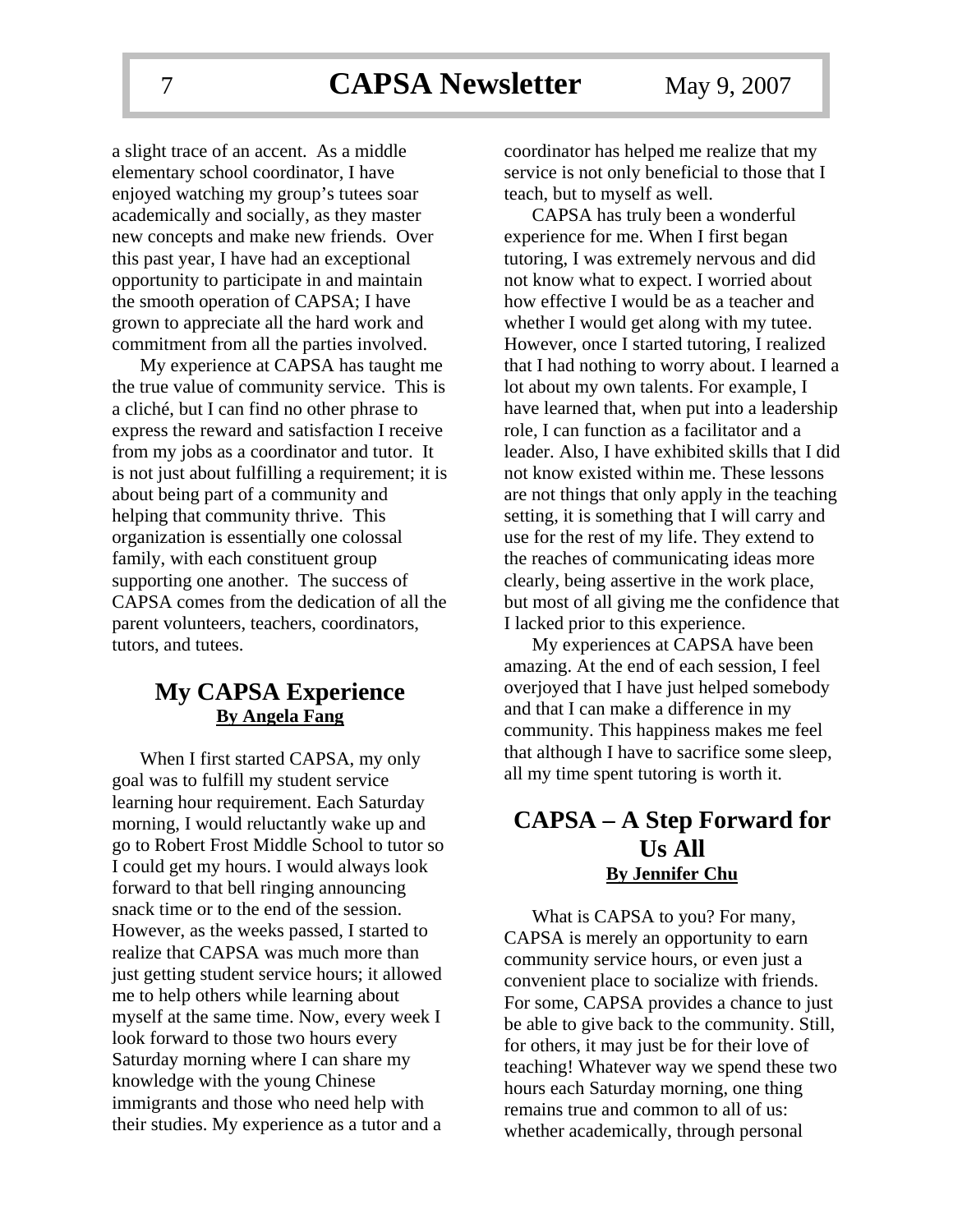a slight trace of an accent. As a middle elementary school coordinator, I have enjoyed watching my group's tutees soar academically and socially, as they master new concepts and make new friends. Over this past year, I have had an exceptional opportunity to participate in and maintain the smooth operation of CAPSA; I have grown to appreciate all the hard work and commitment from all the parties involved.

My experience at CAPSA has taught me the true value of community service. This is a cliché, but I can find no other phrase to express the reward and satisfaction I receive from my jobs as a coordinator and tutor. It is not just about fulfilling a requirement; it is about being part of a community and helping that community thrive. This organization is essentially one colossal family, with each constituent group supporting one another. The success of CAPSA comes from the dedication of all the parent volunteers, teachers, coordinators, tutors, and tutees.

### **My CAPSA Experience By Angela Fang**

When I first started CAPSA, my only goal was to fulfill my student service learning hour requirement. Each Saturday morning, I would reluctantly wake up and go to Robert Frost Middle School to tutor so I could get my hours. I would always look forward to that bell ringing announcing snack time or to the end of the session. However, as the weeks passed, I started to realize that CAPSA was much more than just getting student service hours; it allowed me to help others while learning about myself at the same time. Now, every week I look forward to those two hours every Saturday morning where I can share my knowledge with the young Chinese immigrants and those who need help with their studies. My experience as a tutor and a

coordinator has helped me realize that my service is not only beneficial to those that I teach, but to myself as well.

CAPSA has truly been a wonderful experience for me. When I first began tutoring, I was extremely nervous and did not know what to expect. I worried about how effective I would be as a teacher and whether I would get along with my tutee. However, once I started tutoring, I realized that I had nothing to worry about. I learned a lot about my own talents. For example, I have learned that, when put into a leadership role, I can function as a facilitator and a leader. Also, I have exhibited skills that I did not know existed within me. These lessons are not things that only apply in the teaching setting, it is something that I will carry and use for the rest of my life. They extend to the reaches of communicating ideas more clearly, being assertive in the work place, but most of all giving me the confidence that I lacked prior to this experience.

My experiences at CAPSA have been amazing. At the end of each session, I feel overjoyed that I have just helped somebody and that I can make a difference in my community. This happiness makes me feel that although I have to sacrifice some sleep, all my time spent tutoring is worth it.

### **CAPSA – A Step Forward for Us All By Jennifer Chu**

What is CAPSA to you? For many, CAPSA is merely an opportunity to earn community service hours, or even just a convenient place to socialize with friends. For some, CAPSA provides a chance to just be able to give back to the community. Still, for others, it may just be for their love of teaching! Whatever way we spend these two hours each Saturday morning, one thing remains true and common to all of us: whether academically, through personal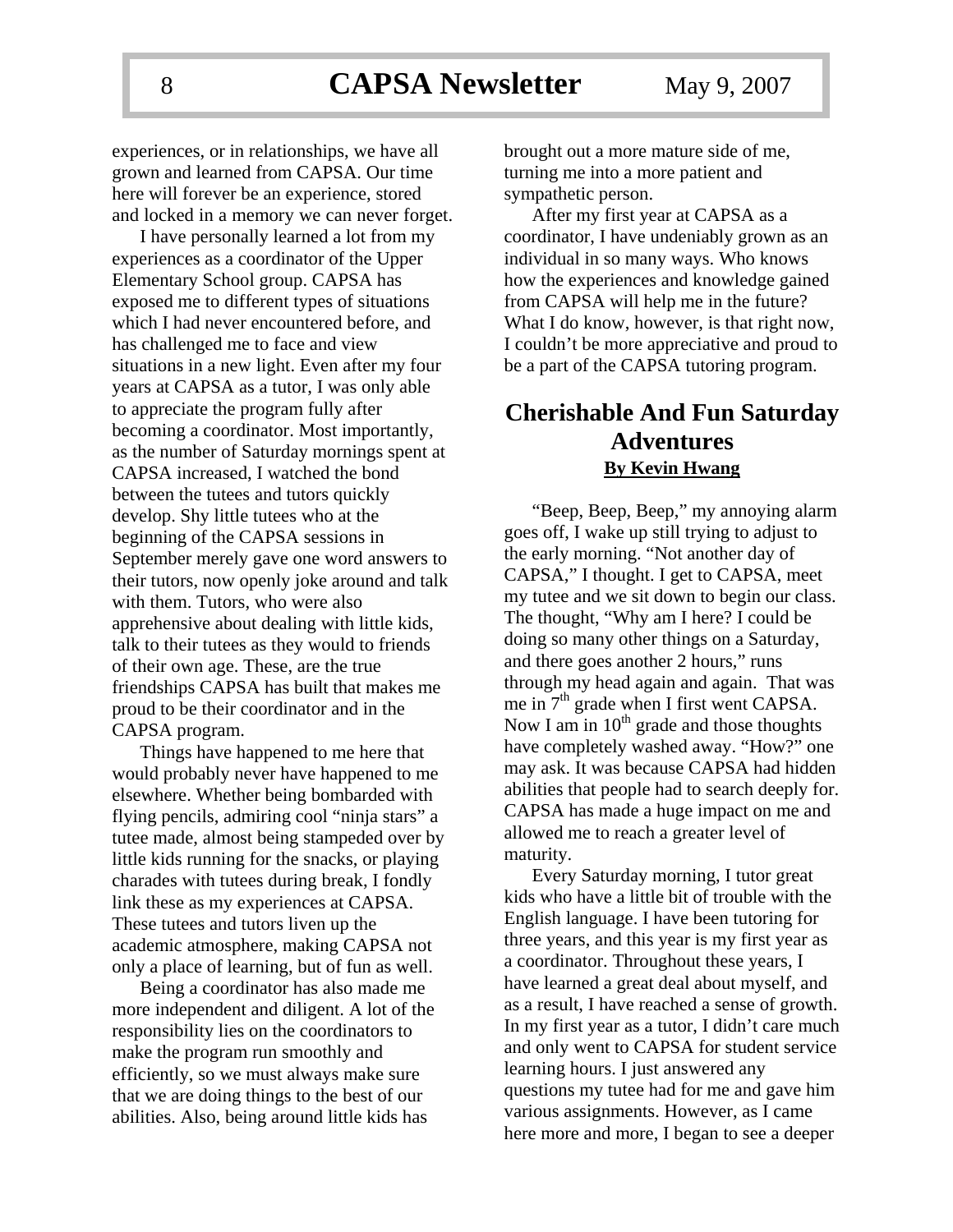experiences, or in relationships, we have all grown and learned from CAPSA. Our time here will forever be an experience, stored and locked in a memory we can never forget.

I have personally learned a lot from my experiences as a coordinator of the Upper Elementary School group. CAPSA has exposed me to different types of situations which I had never encountered before, and has challenged me to face and view situations in a new light. Even after my four years at CAPSA as a tutor, I was only able to appreciate the program fully after becoming a coordinator. Most importantly, as the number of Saturday mornings spent at CAPSA increased, I watched the bond between the tutees and tutors quickly develop. Shy little tutees who at the beginning of the CAPSA sessions in September merely gave one word answers to their tutors, now openly joke around and talk with them. Tutors, who were also apprehensive about dealing with little kids, talk to their tutees as they would to friends of their own age. These, are the true friendships CAPSA has built that makes me proud to be their coordinator and in the CAPSA program.

Things have happened to me here that would probably never have happened to me elsewhere. Whether being bombarded with flying pencils, admiring cool "ninja stars" a tutee made, almost being stampeded over by little kids running for the snacks, or playing charades with tutees during break, I fondly link these as my experiences at CAPSA. These tutees and tutors liven up the academic atmosphere, making CAPSA not only a place of learning, but of fun as well.

Being a coordinator has also made me more independent and diligent. A lot of the responsibility lies on the coordinators to make the program run smoothly and efficiently, so we must always make sure that we are doing things to the best of our abilities. Also, being around little kids has

brought out a more mature side of me, turning me into a more patient and sympathetic person.

After my first year at CAPSA as a coordinator, I have undeniably grown as an individual in so many ways. Who knows how the experiences and knowledge gained from CAPSA will help me in the future? What I do know, however, is that right now, I couldn't be more appreciative and proud to be a part of the CAPSA tutoring program.

### **Cherishable And Fun Saturday Adventures By Kevin Hwang**

"Beep, Beep, Beep," my annoying alarm goes off, I wake up still trying to adjust to the early morning. "Not another day of CAPSA," I thought. I get to CAPSA, meet my tutee and we sit down to begin our class. The thought, "Why am I here? I could be doing so many other things on a Saturday, and there goes another 2 hours," runs through my head again and again. That was me in  $7<sup>th</sup>$  grade when I first went CAPSA. Now I am in  $10^{th}$  grade and those thoughts have completely washed away. "How?" one may ask. It was because CAPSA had hidden abilities that people had to search deeply for. CAPSA has made a huge impact on me and allowed me to reach a greater level of maturity.

Every Saturday morning, I tutor great kids who have a little bit of trouble with the English language. I have been tutoring for three years, and this year is my first year as a coordinator. Throughout these years, I have learned a great deal about myself, and as a result, I have reached a sense of growth. In my first year as a tutor, I didn't care much and only went to CAPSA for student service learning hours. I just answered any questions my tutee had for me and gave him various assignments. However, as I came here more and more, I began to see a deeper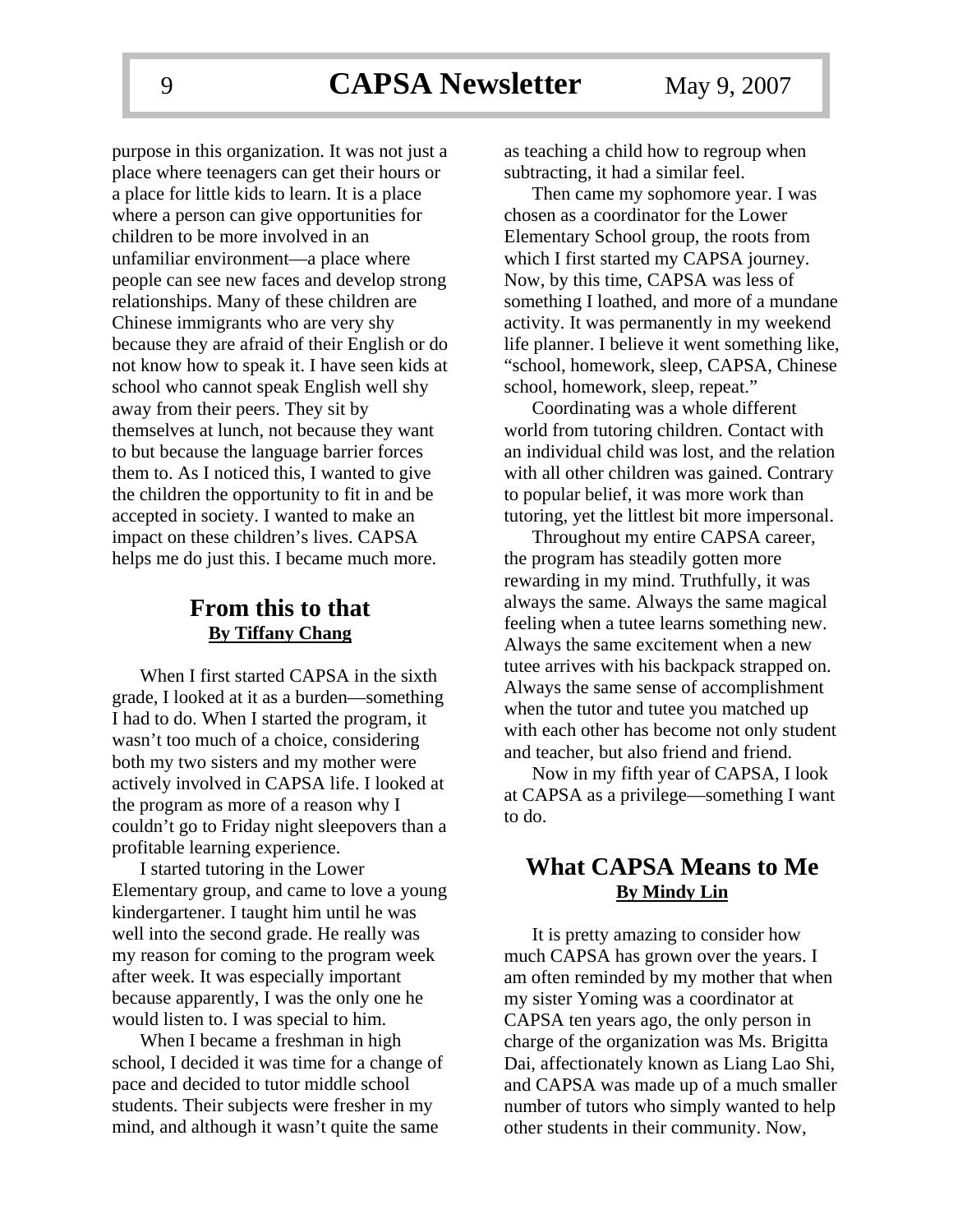purpose in this organization. It was not just a place where teenagers can get their hours or a place for little kids to learn. It is a place where a person can give opportunities for children to be more involved in an unfamiliar environment—a place where people can see new faces and develop strong relationships. Many of these children are Chinese immigrants who are very shy because they are afraid of their English or do not know how to speak it. I have seen kids at school who cannot speak English well shy away from their peers. They sit by themselves at lunch, not because they want to but because the language barrier forces them to. As I noticed this, I wanted to give the children the opportunity to fit in and be accepted in society. I wanted to make an impact on these children's lives. CAPSA helps me do just this. I became much more.

### **From this to that By Tiffany Chang**

When I first started CAPSA in the sixth grade, I looked at it as a burden—something I had to do. When I started the program, it wasn't too much of a choice, considering both my two sisters and my mother were actively involved in CAPSA life. I looked at the program as more of a reason why I couldn't go to Friday night sleepovers than a profitable learning experience.

I started tutoring in the Lower Elementary group, and came to love a young kindergartener. I taught him until he was well into the second grade. He really was my reason for coming to the program week after week. It was especially important because apparently, I was the only one he would listen to. I was special to him.

When I became a freshman in high school, I decided it was time for a change of pace and decided to tutor middle school students. Their subjects were fresher in my mind, and although it wasn't quite the same

as teaching a child how to regroup when subtracting, it had a similar feel.

Then came my sophomore year. I was chosen as a coordinator for the Lower Elementary School group, the roots from which I first started my CAPSA journey. Now, by this time, CAPSA was less of something I loathed, and more of a mundane activity. It was permanently in my weekend life planner. I believe it went something like, "school, homework, sleep, CAPSA, Chinese school, homework, sleep, repeat."

Coordinating was a whole different world from tutoring children. Contact with an individual child was lost, and the relation with all other children was gained. Contrary to popular belief, it was more work than tutoring, yet the littlest bit more impersonal.

Throughout my entire CAPSA career, the program has steadily gotten more rewarding in my mind. Truthfully, it was always the same. Always the same magical feeling when a tutee learns something new. Always the same excitement when a new tutee arrives with his backpack strapped on. Always the same sense of accomplishment when the tutor and tutee you matched up with each other has become not only student and teacher, but also friend and friend.

Now in my fifth year of CAPSA, I look at CAPSA as a privilege—something I want to do.

### **What CAPSA Means to Me By Mindy Lin**

It is pretty amazing to consider how much CAPSA has grown over the years. I am often reminded by my mother that when my sister Yoming was a coordinator at CAPSA ten years ago, the only person in charge of the organization was Ms. Brigitta Dai, affectionately known as Liang Lao Shi, and CAPSA was made up of a much smaller number of tutors who simply wanted to help other students in their community. Now,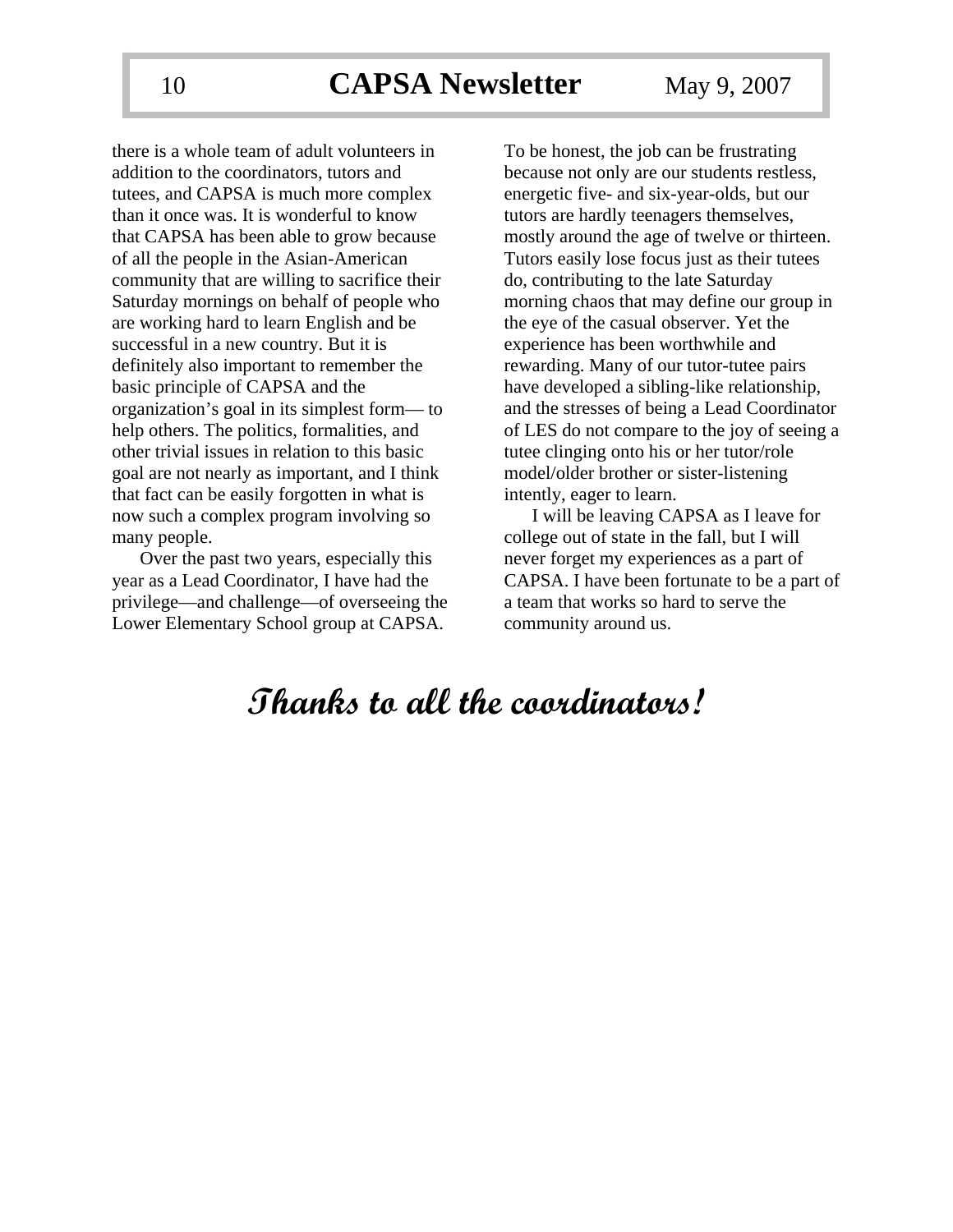there is a whole team of adult volunteers in addition to the coordinators, tutors and tutees, and CAPSA is much more complex than it once was. It is wonderful to know that CAPSA has been able to grow because of all the people in the Asian-American community that are willing to sacrifice their Saturday mornings on behalf of people who are working hard to learn English and be successful in a new country. But it is definitely also important to remember the basic principle of CAPSA and the organization's goal in its simplest form— to help others. The politics, formalities, and other trivial issues in relation to this basic goal are not nearly as important, and I think that fact can be easily forgotten in what is now such a complex program involving so many people.

Over the past two years, especially this year as a Lead Coordinator, I have had the privilege—and challenge—of overseeing the Lower Elementary School group at CAPSA.

To be honest, the job can be frustrating because not only are our students restless, energetic five- and six-year-olds, but our tutors are hardly teenagers themselves, mostly around the age of twelve or thirteen. Tutors easily lose focus just as their tutees do, contributing to the late Saturday morning chaos that may define our group in the eye of the casual observer. Yet the experience has been worthwhile and rewarding. Many of our tutor-tutee pairs have developed a sibling-like relationship, and the stresses of being a Lead Coordinator of LES do not compare to the joy of seeing a tutee clinging onto his or her tutor/role model/older brother or sister-listening intently, eager to learn.

I will be leaving CAPSA as I leave for college out of state in the fall, but I will never forget my experiences as a part of CAPSA. I have been fortunate to be a part of a team that works so hard to serve the community around us.

# **Thanks to all the coordinators!**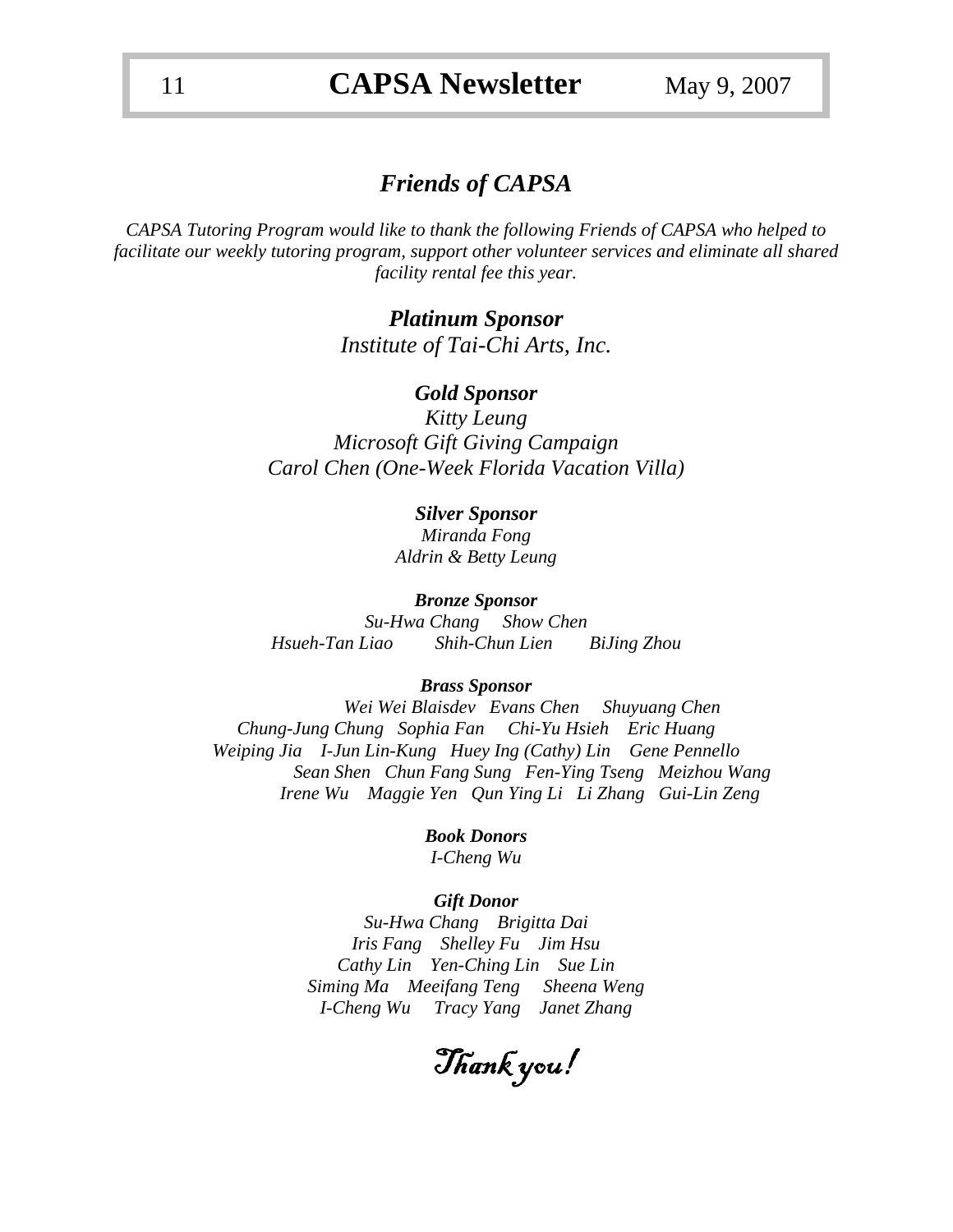### *Friends of CAPSA*

*CAPSA Tutoring Program would like to thank the following Friends of CAPSA who helped to facilitate our weekly tutoring program, support other volunteer services and eliminate all shared facility rental fee this year.* 

> *Platinum Sponsor Institute of Tai-Chi Arts, Inc.*

### *Gold Sponsor*

*Kitty Leung Microsoft Gift Giving Campaign Carol Chen (One-Week Florida Vacation Villa)* 

#### *Silver Sponsor*

*Miranda Fong Aldrin & Betty Leung* 

#### *Bronze Sponsor*

*Su-Hwa Chang Show Chen Hsueh-Tan Liao Shih-Chun Lien BiJing Zhou* 

#### *Brass Sponsor*

*Wei Wei Blaisdev Evans Chen Shuyuang Chen Chung-Jung Chung Sophia Fan Chi-Yu Hsieh Eric Huang Weiping Jia I-Jun Lin-Kung Huey Ing (Cathy) Lin Gene Pennello Sean Shen Chun Fang Sung Fen-Ying Tseng Meizhou Wang Irene Wu Maggie Yen Qun Ying Li Li Zhang Gui-Lin Zeng* 

> *Book Donors I-Cheng Wu*

#### *Gift Donor*

*Su-Hwa Chang Brigitta Dai Iris Fang Shelley Fu Jim Hsu Cathy Lin Yen-Ching Lin Sue Lin Siming Ma Meeifang Teng Sheena Weng I-Cheng Wu Tracy Yang Janet Zhang* 

Thank you!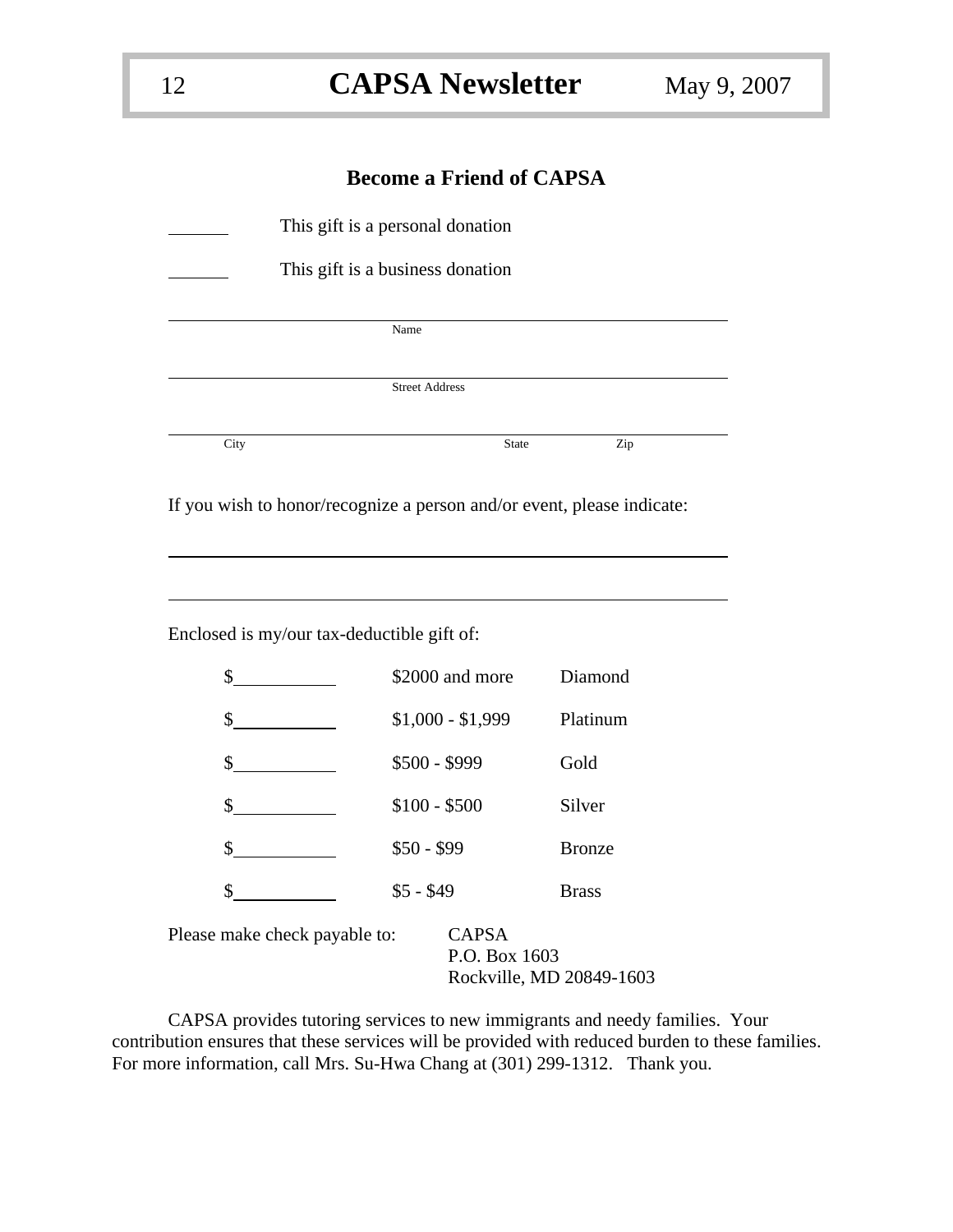### **Become a Friend of CAPSA**

|      | This gift is a personal donation                                                                                                                                                                                                                                                                                                                                                            |               |
|------|---------------------------------------------------------------------------------------------------------------------------------------------------------------------------------------------------------------------------------------------------------------------------------------------------------------------------------------------------------------------------------------------|---------------|
|      | This gift is a business donation                                                                                                                                                                                                                                                                                                                                                            |               |
|      | Name                                                                                                                                                                                                                                                                                                                                                                                        |               |
|      | <b>Street Address</b>                                                                                                                                                                                                                                                                                                                                                                       |               |
| City | State                                                                                                                                                                                                                                                                                                                                                                                       | Zip           |
|      |                                                                                                                                                                                                                                                                                                                                                                                             |               |
|      | If you wish to honor/recognize a person and/or event, please indicate:                                                                                                                                                                                                                                                                                                                      |               |
|      |                                                                                                                                                                                                                                                                                                                                                                                             |               |
|      |                                                                                                                                                                                                                                                                                                                                                                                             |               |
|      |                                                                                                                                                                                                                                                                                                                                                                                             |               |
|      |                                                                                                                                                                                                                                                                                                                                                                                             |               |
|      | Enclosed is my/our tax-deductible gift of:                                                                                                                                                                                                                                                                                                                                                  |               |
|      | $\sim$<br>\$2000 and more                                                                                                                                                                                                                                                                                                                                                                   | Diamond       |
|      | $$1,000 - $1,999$<br>$\sim$                                                                                                                                                                                                                                                                                                                                                                 | Platinum      |
|      | \$500 - \$999<br>$\sim$                                                                                                                                                                                                                                                                                                                                                                     | Gold          |
|      |                                                                                                                                                                                                                                                                                                                                                                                             |               |
|      | $$100 - $500$<br>$\frac{\text{S}}{\text{S}}$                                                                                                                                                                                                                                                                                                                                                | Silver        |
|      | $$50 - $99$<br>$\frac{\S_{\frac{1}{2}}}{\S_{\frac{1}{2}}}{\S_{\frac{1}{2}}}{\S_{\frac{1}{2}}}{\S_{\frac{1}{2}}}{\S_{\frac{1}{2}}}{\S_{\frac{1}{2}}}{\S_{\frac{1}{2}}}{\S_{\frac{1}{2}}}{\S_{\frac{1}{2}}}{\S_{\frac{1}{2}}}{\S_{\frac{1}{2}}}{\S_{\frac{1}{2}}}{\S_{\frac{1}{2}}}{\S_{\frac{1}{2}}}{\S_{\frac{1}{2}}}{\S_{\frac{1}{2}}}{\S_{\frac{1}{2}}}{\S_{\frac{1}{2}}}{\S_{\frac{1}{2$ | <b>Bronze</b> |
| \$   | $$5 - $49$                                                                                                                                                                                                                                                                                                                                                                                  | <b>Brass</b>  |
|      | Please make check payable to:<br><b>CAPSA</b><br>P.O. Box 1603                                                                                                                                                                                                                                                                                                                              |               |

CAPSA provides tutoring services to new immigrants and needy families. Your contribution ensures that these services will be provided with reduced burden to these families. For more information, call Mrs. Su-Hwa Chang at (301) 299-1312. Thank you.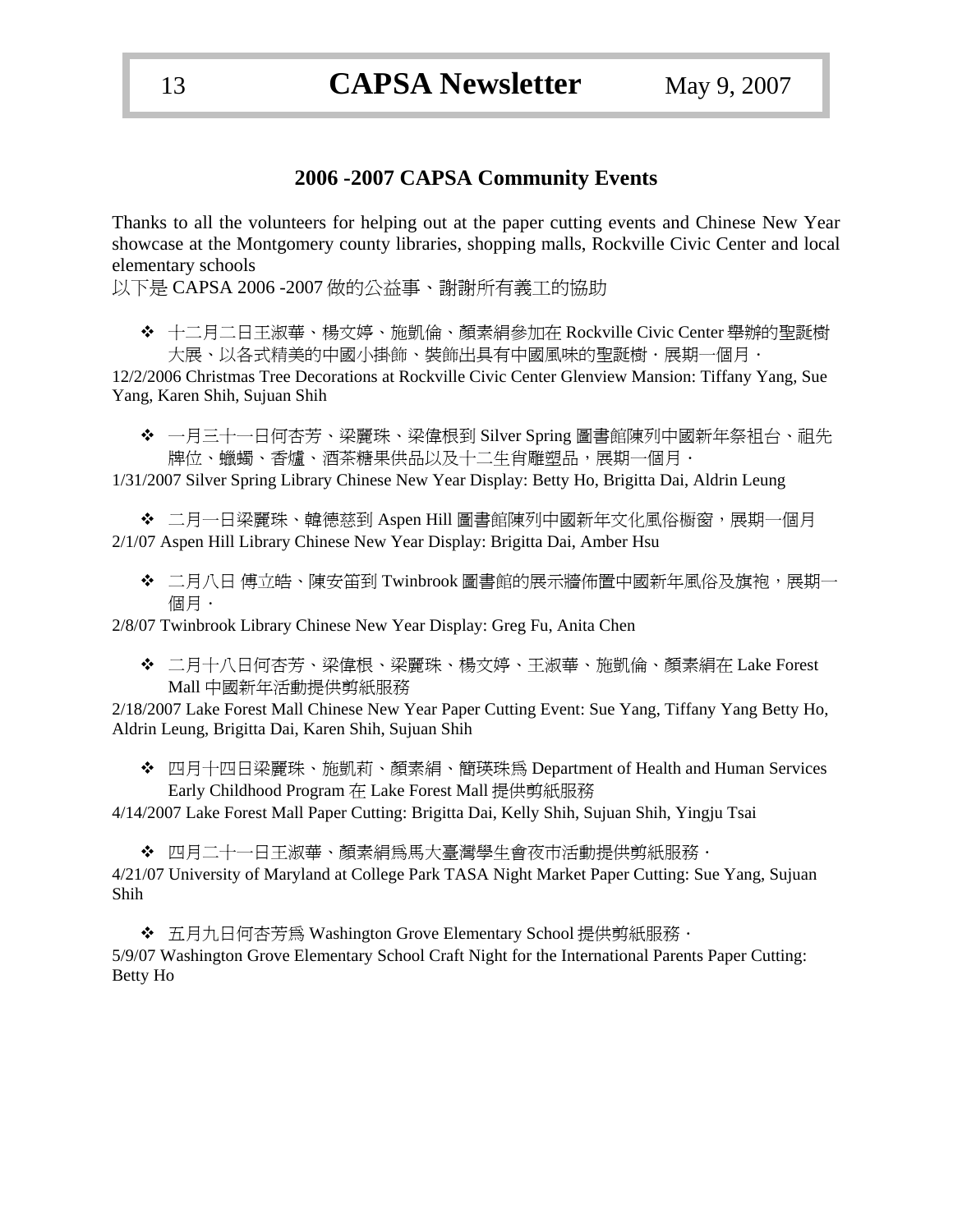### **2006 -2007 CAPSA Community Events**

Thanks to all the volunteers for helping out at the paper cutting events and Chinese New Year showcase at the Montgomery county libraries, shopping malls, Rockville Civic Center and local elementary schools

以下是 CAPSA 2006 -2007 做的公益事、謝謝所有義工的協助

 十二月二日王淑華、楊文婷、施凱倫、顏素絹參加在 Rockville Civic Center 舉辦的聖誕樹 大展、以各式精美的中國小掛飾、裝飾出具有中國風味的聖誕樹·展期一個月·

12/2/2006 Christmas Tree Decorations at Rockville Civic Center Glenview Mansion: Tiffany Yang, Sue Yang, Karen Shih, Sujuan Shih

◆ 一月三十一日何杏芳、梁麗珠、梁偉根到 Silver Spring 圖書館陳列中國新年祭祖台、祖先 牌位、蠟蠋、香爐、酒茶糖果供品以及十二生肖雕塑品,展期一個月.

1/31/2007 Silver Spring Library Chinese New Year Display: Betty Ho, Brigitta Dai, Aldrin Leung

◆ 二月一日梁麗珠、韓德慈到 Aspen Hill 圖書館陳列中國新年文化風俗櫉窗,展期一個月 2/1/07 Aspen Hill Library Chinese New Year Display: Brigitta Dai, Amber Hsu

◆ 二月八日 傅立皓、陳安笛到 Twinbrook 圖書館的展示牆佈置中國新年風俗及旗袍,展期一 個月.

2/8/07 Twinbrook Library Chinese New Year Display: Greg Fu, Anita Chen

 二月十八日何杏芳、梁偉根、梁麗珠、楊文婷、王淑華、施凱倫、顏素絹在 Lake Forest Mall 中國新年活動提供剪紙服務

2/18/2007 Lake Forest Mall Chinese New Year Paper Cutting Event: Sue Yang, Tiffany Yang Betty Ho, Aldrin Leung, Brigitta Dai, Karen Shih, Sujuan Shih

 四月十四日梁麗珠、施凱莉、顏素絹、簡瑛珠為 Department of Health and Human Services Early Childhood Program 在 Lake Forest Mall 提供剪紙服務

4/14/2007 Lake Forest Mall Paper Cutting: Brigitta Dai, Kelly Shih, Sujuan Shih, Yingju Tsai

◆ 四月二十一日王淑華、顏素絹為馬大臺灣學生會夜市活動提供剪紙服務. 4/21/07 University of Maryland at College Park TASA Night Market Paper Cutting: Sue Yang, Sujuan Shih

◆ 五月九日何杏芳為 Washington Grove Elementary School 提供剪紙服務 · 5/9/07 Washington Grove Elementary School Craft Night for the International Parents Paper Cutting: Betty Ho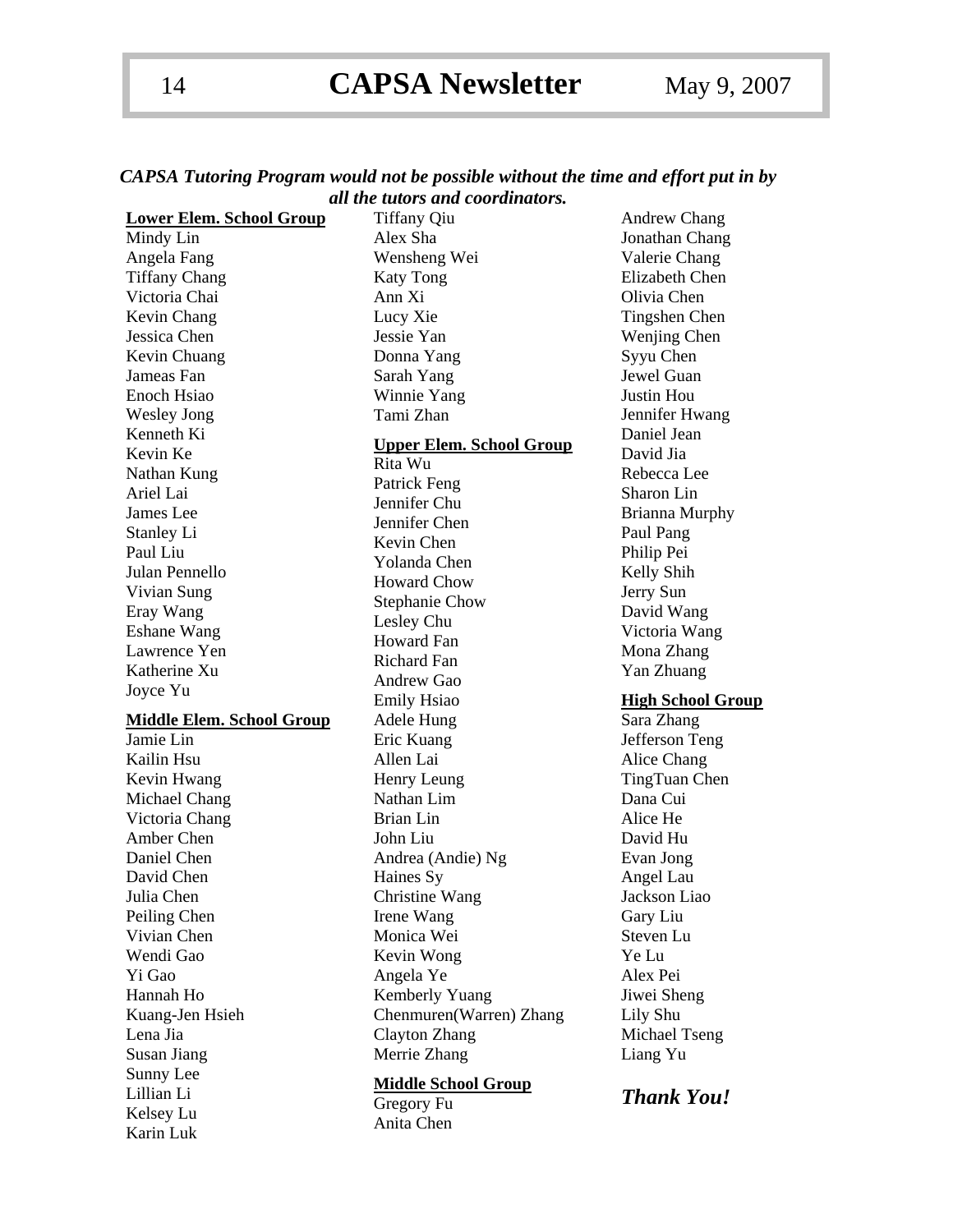| CAPSA Tutoring Program would not be possible without the time and effort put in by |  |                                  |  |  |  |
|------------------------------------------------------------------------------------|--|----------------------------------|--|--|--|
|                                                                                    |  | all the tutors and coordinators. |  |  |  |

| <b>Lower Elem. School Group</b>  | <b>Tiffany Qiu</b>              | <b>Andrew Chang</b>      |
|----------------------------------|---------------------------------|--------------------------|
| Mindy Lin                        | Alex Sha                        | Jonathan Chang           |
| Angela Fang                      | Wensheng Wei                    | Valerie Chang            |
| <b>Tiffany Chang</b>             | <b>Katy Tong</b>                | Elizabeth Chen           |
| Victoria Chai                    | Ann Xi                          | Olivia Chen              |
| Kevin Chang                      | Lucy Xie                        | Tingshen Chen            |
| Jessica Chen                     | Jessie Yan                      | Wenjing Chen             |
| Kevin Chuang                     | Donna Yang                      | Syyu Chen                |
| Jameas Fan                       | Sarah Yang                      | Jewel Guan               |
| Enoch Hsiao                      | Winnie Yang                     | Justin Hou               |
| <b>Wesley Jong</b>               | Tami Zhan                       | Jennifer Hwang           |
| Kenneth Ki                       |                                 | Daniel Jean              |
| Kevin Ke                         | <b>Upper Elem. School Group</b> | David Jia                |
| Nathan Kung                      | Rita Wu                         | Rebecca Lee              |
| Ariel Lai                        | Patrick Feng                    | Sharon Lin               |
| James Lee                        | Jennifer Chu                    | <b>Brianna Murphy</b>    |
| Stanley Li                       | Jennifer Chen                   | Paul Pang                |
| Paul Liu                         | Kevin Chen                      | Philip Pei               |
| Julan Pennello                   | Yolanda Chen                    | Kelly Shih               |
| Vivian Sung                      | <b>Howard Chow</b>              | Jerry Sun                |
| Eray Wang                        | <b>Stephanie Chow</b>           | David Wang               |
| Eshane Wang                      | Lesley Chu                      | Victoria Wang            |
| Lawrence Yen                     | <b>Howard Fan</b>               | Mona Zhang               |
| Katherine Xu                     | <b>Richard Fan</b>              | Yan Zhuang               |
|                                  | Andrew Gao                      |                          |
|                                  |                                 |                          |
| Joyce Yu                         | <b>Emily Hsiao</b>              | <b>High School Group</b> |
| <b>Middle Elem. School Group</b> | Adele Hung                      | Sara Zhang               |
| Jamie Lin                        | Eric Kuang                      | Jefferson Teng           |
| Kailin Hsu                       | Allen Lai                       | Alice Chang              |
| Kevin Hwang                      | Henry Leung                     | TingTuan Chen            |
| Michael Chang                    | Nathan Lim                      | Dana Cui                 |
| Victoria Chang                   | <b>Brian Lin</b>                | Alice He                 |
| Amber Chen                       | John Liu                        | David Hu                 |
| Daniel Chen                      | Andrea (Andie) Ng               | Evan Jong                |
| David Chen                       | Haines Sy                       | Angel Lau                |
| Julia Chen                       | Christine Wang                  | Jackson Liao             |
| Peiling Chen                     | Irene Wang                      | Gary Liu                 |
| Vivian Chen                      | Monica Wei                      | Steven Lu                |
| Wendi Gao                        | Kevin Wong                      | Ye Lu                    |
| Yi Gao                           | Angela Ye                       | Alex Pei                 |
| Hannah Ho                        | Kemberly Yuang                  | Jiwei Sheng              |
| Kuang-Jen Hsieh                  | Chenmuren(Warren) Zhang         | Lily Shu                 |
| Lena Jia                         | Clayton Zhang                   | Michael Tseng            |
| Susan Jiang                      | Merrie Zhang                    | Liang Yu                 |
| Sunny Lee                        |                                 |                          |
| Lillian Li                       | <b>Middle School Group</b>      | <b>Thank You!</b>        |
| Kelsey Lu                        | Gregory Fu<br>Anita Chen        |                          |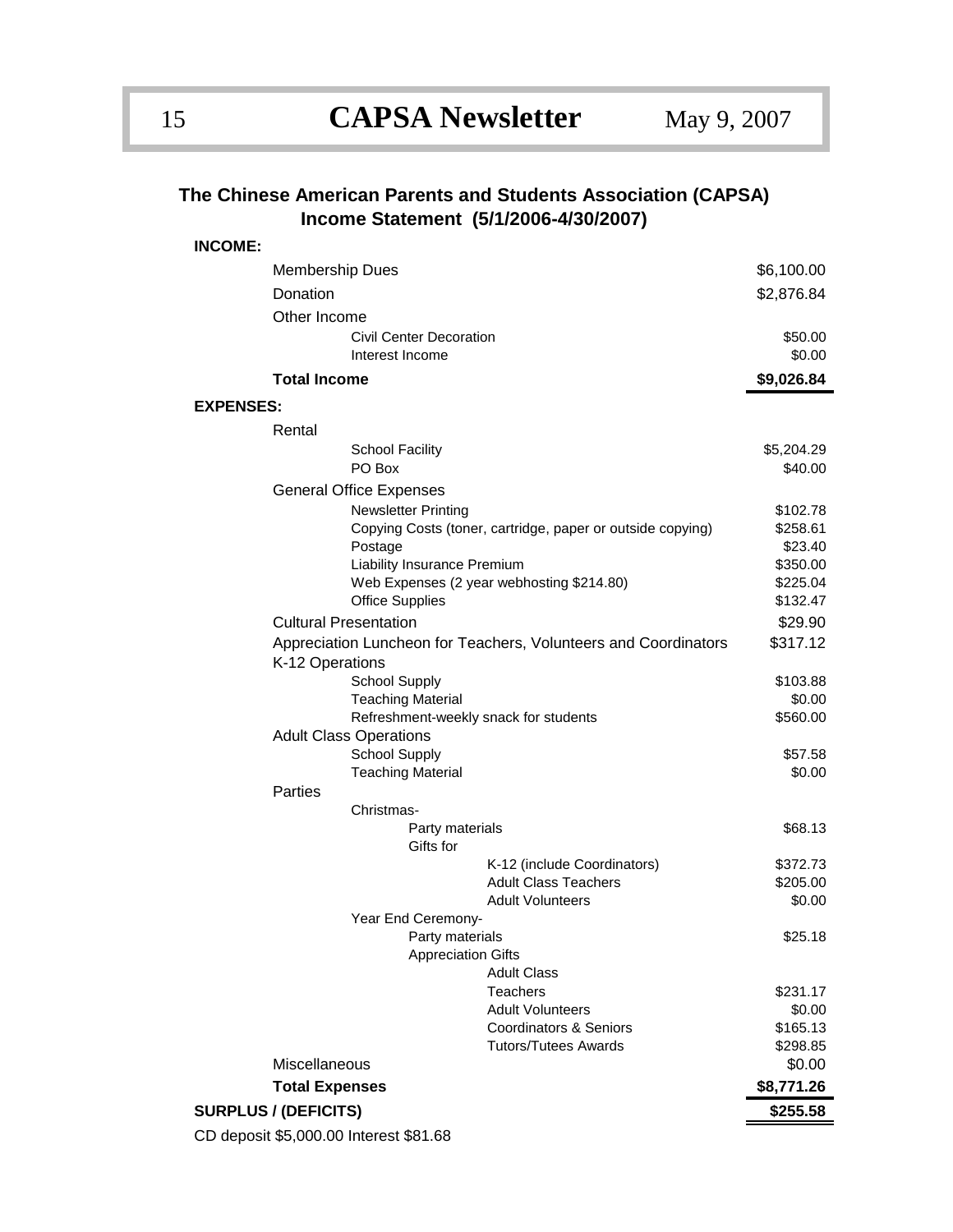### **The Chinese American Parents and Students Association (CAPSA) Income Statement (5/1/2006-4/30/2007)**

| <b>INCOME:</b>   |                                                                                    |                                        |                                                              |                      |  |  |
|------------------|------------------------------------------------------------------------------------|----------------------------------------|--------------------------------------------------------------|----------------------|--|--|
|                  | <b>Membership Dues</b>                                                             |                                        |                                                              | \$6,100.00           |  |  |
|                  | Donation                                                                           |                                        |                                                              |                      |  |  |
|                  | Other Income                                                                       |                                        |                                                              |                      |  |  |
|                  |                                                                                    | Civil Center Decoration                |                                                              | \$50.00              |  |  |
|                  |                                                                                    | Interest Income                        |                                                              | \$0.00               |  |  |
|                  | <b>Total Income</b>                                                                |                                        |                                                              | \$9,026.84           |  |  |
|                  |                                                                                    |                                        |                                                              |                      |  |  |
| <b>EXPENSES:</b> |                                                                                    |                                        |                                                              |                      |  |  |
|                  | Rental                                                                             |                                        |                                                              |                      |  |  |
|                  |                                                                                    | <b>School Facility</b>                 |                                                              | \$5,204.29           |  |  |
|                  |                                                                                    | PO Box                                 |                                                              | \$40.00              |  |  |
|                  | <b>General Office Expenses</b>                                                     |                                        |                                                              |                      |  |  |
|                  |                                                                                    | <b>Newsletter Printing</b>             |                                                              | \$102.78             |  |  |
|                  |                                                                                    |                                        | Copying Costs (toner, cartridge, paper or outside copying)   | \$258.61<br>\$23.40  |  |  |
|                  | Postage                                                                            |                                        |                                                              |                      |  |  |
|                  | Liability Insurance Premium<br>Web Expenses (2 year webhosting \$214.80)           |                                        |                                                              |                      |  |  |
|                  |                                                                                    | <b>Office Supplies</b>                 |                                                              | \$225.04<br>\$132.47 |  |  |
|                  |                                                                                    | <b>Cultural Presentation</b>           |                                                              | \$29.90              |  |  |
|                  |                                                                                    |                                        |                                                              | \$317.12             |  |  |
|                  | Appreciation Luncheon for Teachers, Volunteers and Coordinators<br>K-12 Operations |                                        |                                                              |                      |  |  |
|                  |                                                                                    | <b>School Supply</b>                   |                                                              | \$103.88             |  |  |
|                  |                                                                                    | <b>Teaching Material</b>               |                                                              | \$0.00               |  |  |
|                  |                                                                                    | Refreshment-weekly snack for students  |                                                              | \$560.00             |  |  |
|                  |                                                                                    | <b>Adult Class Operations</b>          |                                                              |                      |  |  |
|                  |                                                                                    | <b>School Supply</b>                   |                                                              | \$57.58              |  |  |
|                  |                                                                                    | <b>Teaching Material</b>               |                                                              | \$0.00               |  |  |
|                  | Parties                                                                            |                                        |                                                              |                      |  |  |
|                  |                                                                                    | Christmas-                             |                                                              |                      |  |  |
|                  |                                                                                    | Party materials<br>Gifts for           |                                                              | \$68.13              |  |  |
|                  |                                                                                    |                                        | K-12 (include Coordinators)                                  | \$372.73             |  |  |
|                  |                                                                                    |                                        | <b>Adult Class Teachers</b>                                  | \$205.00             |  |  |
|                  |                                                                                    |                                        | <b>Adult Volunteers</b>                                      | \$0.00               |  |  |
|                  | Year End Ceremony-                                                                 |                                        |                                                              |                      |  |  |
|                  | Party materials                                                                    |                                        |                                                              |                      |  |  |
|                  |                                                                                    | <b>Appreciation Gifts</b>              |                                                              |                      |  |  |
|                  |                                                                                    |                                        | <b>Adult Class</b>                                           |                      |  |  |
|                  |                                                                                    |                                        | <b>Teachers</b>                                              | \$231.17             |  |  |
|                  |                                                                                    |                                        | <b>Adult Volunteers</b><br><b>Coordinators &amp; Seniors</b> | \$0.00<br>\$165.13   |  |  |
|                  |                                                                                    |                                        | <b>Tutors/Tutees Awards</b>                                  | \$298.85             |  |  |
|                  | Miscellaneous                                                                      |                                        |                                                              | \$0.00               |  |  |
|                  | <b>Total Expenses</b>                                                              |                                        |                                                              |                      |  |  |
|                  |                                                                                    |                                        |                                                              | \$8,771.26           |  |  |
|                  | <b>SURPLUS / (DEFICITS)</b>                                                        |                                        |                                                              | \$255.58             |  |  |
|                  |                                                                                    | CD deposit \$5,000.00 Interest \$81.68 |                                                              |                      |  |  |